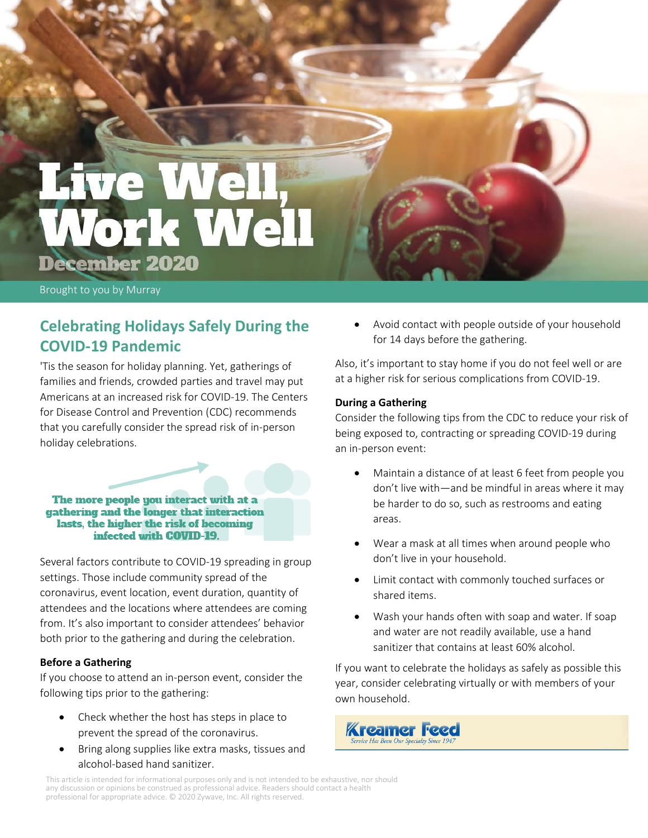# Work Well December 2020

Brought to you by Murray

## **Celebrating Holidays Safely During the COVID-19 Pandemic**

'Tis the season for holiday planning. Yet, gatherings of families and friends, crowded parties and travel may put Americans at an increased risk for COVID-19. The Centers for Disease Control and Prevention (CDC) recommends that you carefully consider the spread risk of in-person holiday celebrations.

The more people you interact with at a gathering and the longer that interaction lasts, the higher the risk of becoming infected with COVID-19.

Several factors contribute to COVID-19 spreading in group settings. Those include community spread of the coronavirus, event location, event duration, quantity of attendees and the locations where attendees are coming from. It's also important to consider attendees' behavior both prior to the gathering and during the celebration.

## **Before a Gathering**

If you choose to attend an in-person event, consider the following tips prior to the gathering:

- Check whether the host has steps in place to prevent the spread of the coronavirus.
- Bring along supplies like extra masks, tissues and alcohol-based hand sanitizer.

• Avoid contact with people outside of your household for 14 days before the gathering.

Also, it's important to stay home if you do not feel well or are at a higher risk for serious complications from COVID-19.

## **During a Gathering**

Consider the following tips from the CDC to reduce your risk of being exposed to, contracting or spreading COVID-19 during an in-person event:

- Maintain a distance of at least 6 feet from people you don't live with—and be mindful in areas where it may be harder to do so, such as restrooms and eating areas.
- Wear a mask at all times when around people who don't live in your household.
- Limit contact with commonly touched surfaces or shared items.
- Wash your hands often with soap and water. If soap and water are not readily available, use a hand sanitizer that contains at least 60% alcohol.

If you want to celebrate the holidays as safely as possible this year, consider celebrating virtually or with members of your own household.



This article is intended for informational purposes only and is not intended to be exhaustive, nor should any discussion or opinions be construed as professional advice. Readers should contact a health professional for appropriate advice. © 2020 Zywave, Inc. All rights reserved.